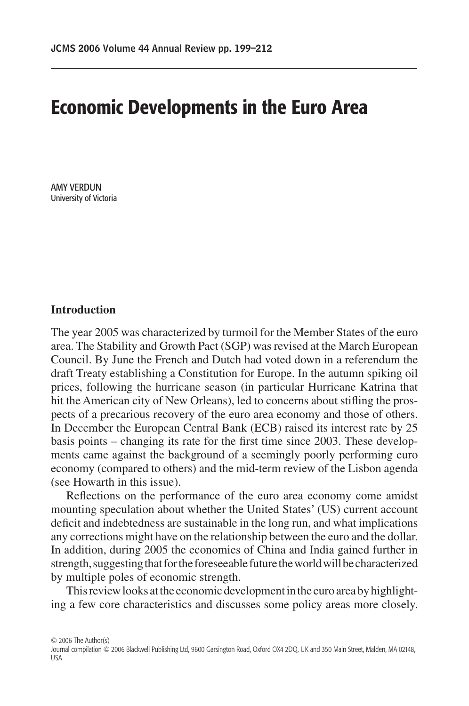# Economic Developments in the Euro Area

AMY VERDUN University of Victoria

### **Introduction**

The year 2005 was characterized by turmoil for the Member States of the euro area. The Stability and Growth Pact (SGP) was revised at the March European Council. By June the French and Dutch had voted down in a referendum the draft Treaty establishing a Constitution for Europe. In the autumn spiking oil prices, following the hurricane season (in particular Hurricane Katrina that hit the American city of New Orleans), led to concerns about stifling the prospects of a precarious recovery of the euro area economy and those of others. In December the European Central Bank (ECB) raised its interest rate by 25 basis points – changing its rate for the first time since 2003. These developments came against the background of a seemingly poorly performing euro economy (compared to others) and the mid-term review of the Lisbon agenda (see Howarth in this issue).

Reflections on the performance of the euro area economy come amidst mounting speculation about whether the United States' (US) current account deficit and indebtedness are sustainable in the long run, and what implications any corrections might have on the relationship between the euro and the dollar. In addition, during 2005 the economies of China and India gained further in strength, suggesting that for the foreseeable future the world will be characterized by multiple poles of economic strength.

This review looks at the economic development in the euro area by highlighting a few core characteristics and discusses some policy areas more closely.

© 2006 The Author(s)

Journal compilation © 2006 Blackwell Publishing Ltd, 9600 Garsington Road, Oxford OX4 2DQ, UK and 350 Main Street, Malden, MA 02148, USA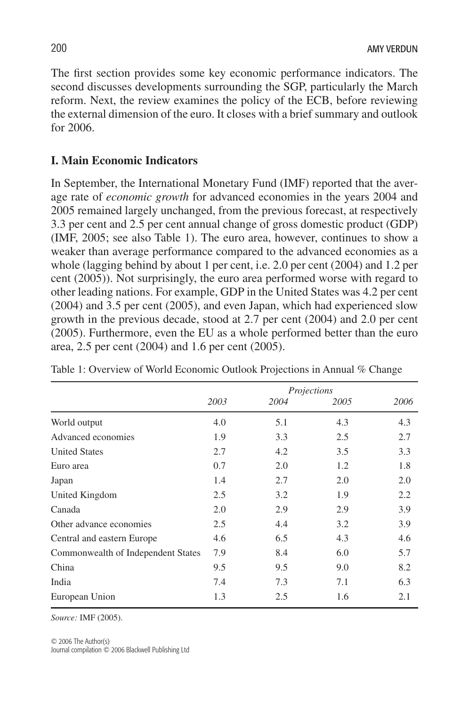The first section provides some key economic performance indicators. The second discusses developments surrounding the SGP, particularly the March reform. Next, the review examines the policy of the ECB, before reviewing the external dimension of the euro. It closes with a brief summary and outlook for 2006.

## **I. Main Economic Indicators**

In September, the International Monetary Fund (IMF) reported that the average rate of *economic growth* for advanced economies in the years 2004 and 2005 remained largely unchanged, from the previous forecast, at respectively 3.3 per cent and 2.5 per cent annual change of gross domestic product (GDP) (IMF, 2005; see also Table 1). The euro area, however, continues to show a weaker than average performance compared to the advanced economies as a whole (lagging behind by about 1 per cent, i.e. 2.0 per cent (2004) and 1.2 per cent (2005)). Not surprisingly, the euro area performed worse with regard to other leading nations. For example, GDP in the United States was 4.2 per cent (2004) and 3.5 per cent (2005), and even Japan, which had experienced slow growth in the previous decade, stood at 2.7 per cent (2004) and 2.0 per cent (2005). Furthermore, even the EU as a whole performed better than the euro area, 2.5 per cent (2004) and 1.6 per cent (2005).

|                                    | Projections |      |      |      |  |  |  |
|------------------------------------|-------------|------|------|------|--|--|--|
|                                    | 2003        | 2004 | 2005 | 2006 |  |  |  |
| World output                       | 4.0         | 5.1  | 4.3  | 4.3  |  |  |  |
| Advanced economies                 | 1.9         | 3.3  | 2.5  | 2.7  |  |  |  |
| <b>United States</b>               | 2.7         | 4.2  | 3.5  | 3.3  |  |  |  |
| Euro area                          | 0.7         | 2.0  | 1.2  | 1.8  |  |  |  |
| Japan                              | 1.4         | 2.7  | 2.0  | 2.0  |  |  |  |
| United Kingdom                     | 2.5         | 3.2  | 1.9  | 2.2  |  |  |  |
| Canada                             | 2.0         | 2.9  | 2.9  | 3.9  |  |  |  |
| Other advance economies            | 2.5         | 4.4  | 3.2  | 3.9  |  |  |  |
| Central and eastern Europe         | 4.6         | 6.5  | 4.3  | 4.6  |  |  |  |
| Commonwealth of Independent States | 7.9         | 8.4  | 6.0  | 5.7  |  |  |  |
| China                              | 9.5         | 9.5  | 9.0  | 8.2  |  |  |  |
| India                              | 7.4         | 7.3  | 7.1  | 6.3  |  |  |  |
| European Union                     | 1.3         | 2.5  | 1.6  | 2.1  |  |  |  |
|                                    |             |      |      |      |  |  |  |

Table 1: Overview of World Economic Outlook Projections in Annual % Change

*Source:* IMF (2005).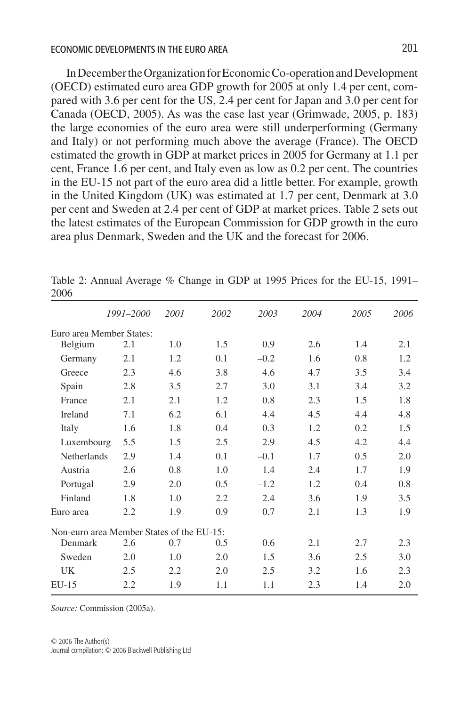In December the Organization for Economic Co-operation and Development (OECD) estimated euro area GDP growth for 2005 at only 1.4 per cent, compared with 3.6 per cent for the US, 2.4 per cent for Japan and 3.0 per cent for Canada (OECD, 2005). As was the case last year (Grimwade, 2005, p. 183) the large economies of the euro area were still underperforming (Germany and Italy) or not performing much above the average (France). The OECD estimated the growth in GDP at market prices in 2005 for Germany at 1.1 per cent, France 1.6 per cent, and Italy even as low as 0.2 per cent. The countries in the EU-15 not part of the euro area did a little better. For example, growth in the United Kingdom (UK) was estimated at 1.7 per cent, Denmark at 3.0 per cent and Sweden at 2.4 per cent of GDP at market prices. Table 2 sets out the latest estimates of the European Commission for GDP growth in the euro area plus Denmark, Sweden and the UK and the forecast for 2006.

|                                           | 1991-2000 | 2001 | 2002 | 2003   | 2004 | 2005 | 2006 |
|-------------------------------------------|-----------|------|------|--------|------|------|------|
| Euro area Member States:                  |           |      |      |        |      |      |      |
| Belgium                                   | 2.1       | 1.0  | 1.5  | 0.9    | 2.6  | 1.4  | 2.1  |
| Germany                                   | 2.1       | 1.2  | 0.1  | $-0.2$ | 1.6  | 0.8  | 1.2  |
| Greece                                    | 2.3       | 4.6  | 3.8  | 4.6    | 4.7  | 3.5  | 3.4  |
| Spain                                     | 2.8       | 3.5  | 2.7  | 3.0    | 3.1  | 3.4  | 3.2  |
| France                                    | 2.1       | 2.1  | 1.2  | 0.8    | 2.3  | 1.5  | 1.8  |
| Ireland                                   | 7.1       | 6.2  | 6.1  | 4.4    | 4.5  | 4.4  | 4.8  |
| Italy                                     | 1.6       | 1.8  | 0.4  | 0.3    | 1.2  | 0.2  | 1.5  |
| Luxembourg                                | 5.5       | 1.5  | 2.5  | 2.9    | 4.5  | 4.2  | 4.4  |
| Netherlands                               | 2.9       | 1.4  | 0.1  | $-0.1$ | 1.7  | 0.5  | 2.0  |
| Austria                                   | 2.6       | 0.8  | 1.0  | 1.4    | 2.4  | 1.7  | 1.9  |
| Portugal                                  | 2.9       | 2.0  | 0.5  | $-1.2$ | 1.2  | 0.4  | 0.8  |
| Finland                                   | 1.8       | 1.0  | 2.2  | 2.4    | 3.6  | 1.9  | 3.5  |
| Euro area                                 | 2.2       | 1.9  | 0.9  | 0.7    | 2.1  | 1.3  | 1.9  |
| Non-euro area Member States of the EU-15: |           |      |      |        |      |      |      |
| Denmark                                   | 2.6       | 0.7  | 0.5  | 0.6    | 2.1  | 2.7  | 2.3  |
| Sweden                                    | 2.0       | 1.0  | 2.0  | 1.5    | 3.6  | 2.5  | 3.0  |
| UK                                        | 2.5       | 2.2  | 2.0  | 2.5    | 3.2  | 1.6  | 2.3  |
| EU-15                                     | 2.2       | 1.9  | 1.1  | 1.1    | 2.3  | 1.4  | 2.0  |

Table 2: Annual Average % Change in GDP at 1995 Prices for the EU-15, 1991– 2006

*Source:* Commission (2005a).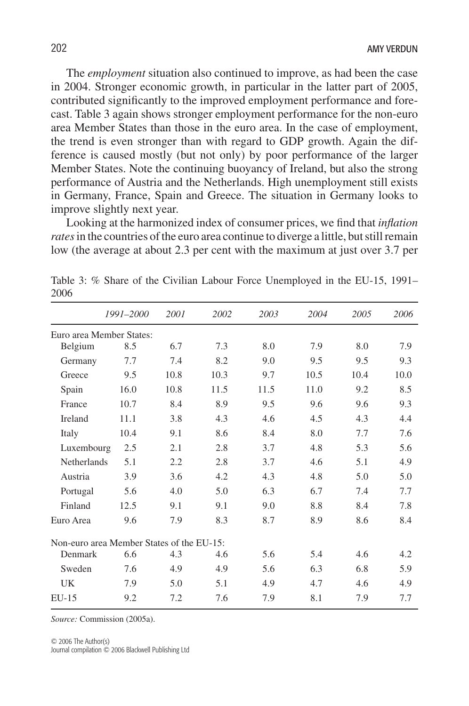The *employment* situation also continued to improve, as had been the case in 2004. Stronger economic growth, in particular in the latter part of 2005, contributed significantly to the improved employment performance and forecast. Table 3 again shows stronger employment performance for the non-euro area Member States than those in the euro area. In the case of employment, the trend is even stronger than with regard to GDP growth. Again the difference is caused mostly (but not only) by poor performance of the larger Member States. Note the continuing buoyancy of Ireland, but also the strong performance of Austria and the Netherlands. High unemployment still exists in Germany, France, Spain and Greece. The situation in Germany looks to improve slightly next year.

Looking at the harmonized index of consumer prices, we find that *inflation rates* in the countries of the euro area continue to diverge a little, but still remain low (the average at about 2.3 per cent with the maximum at just over 3.7 per

|                                           | 1991-2000 | 2001 | 2002 | 2003 | 2004 | 2005 | 2006 |
|-------------------------------------------|-----------|------|------|------|------|------|------|
| Euro area Member States:                  |           |      |      |      |      |      |      |
| Belgium                                   | 8.5       | 6.7  | 7.3  | 8.0  | 7.9  | 8.0  | 7.9  |
| Germany                                   | 7.7       | 7.4  | 8.2  | 9.0  | 9.5  | 9.5  | 9.3  |
| Greece                                    | 9.5       | 10.8 | 10.3 | 9.7  | 10.5 | 10.4 | 10.0 |
| Spain                                     | 16.0      | 10.8 | 11.5 | 11.5 | 11.0 | 9.2  | 8.5  |
| France                                    | 10.7      | 8.4  | 8.9  | 9.5  | 9.6  | 9.6  | 9.3  |
| <b>Ireland</b>                            | 11.1      | 3.8  | 4.3  | 4.6  | 4.5  | 4.3  | 4.4  |
| Italy                                     | 10.4      | 9.1  | 8.6  | 8.4  | 8.0  | 7.7  | 7.6  |
| Luxembourg                                | 2.5       | 2.1  | 2.8  | 3.7  | 4.8  | 5.3  | 5.6  |
| <b>Netherlands</b>                        | 5.1       | 2.2  | 2.8  | 3.7  | 4.6  | 5.1  | 4.9  |
| Austria                                   | 3.9       | 3.6  | 4.2  | 4.3  | 4.8  | 5.0  | 5.0  |
| Portugal                                  | 5.6       | 4.0  | 5.0  | 6.3  | 6.7  | 7.4  | 7.7  |
| Finland                                   | 12.5      | 9.1  | 9.1  | 9.0  | 8.8  | 8.4  | 7.8  |
| Euro Area                                 | 9.6       | 7.9  | 8.3  | 8.7  | 8.9  | 8.6  | 8.4  |
| Non-euro area Member States of the EU-15: |           |      |      |      |      |      |      |
| Denmark                                   | 6.6       | 4.3  | 4.6  | 5.6  | 5.4  | 4.6  | 4.2  |
| Sweden                                    | 7.6       | 4.9  | 4.9  | 5.6  | 6.3  | 6.8  | 5.9  |
| UK                                        | 7.9       | 5.0  | 5.1  | 4.9  | 4.7  | 4.6  | 4.9  |
| $EU-15$                                   | 9.2       | 7.2  | 7.6  | 7.9  | 8.1  | 7.9  | 7.7  |
|                                           |           |      |      |      |      |      |      |

Table 3: % Share of the Civilian Labour Force Unemployed in the EU-15, 1991– 2006

*Source:* Commission (2005a).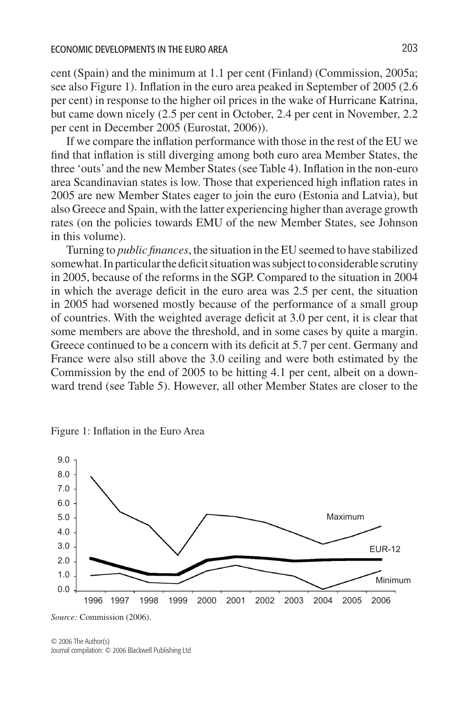cent (Spain) and the minimum at 1.1 per cent (Finland) (Commission, 2005a; see also Figure 1). Inflation in the euro area peaked in September of 2005 (2.6 per cent) in response to the higher oil prices in the wake of Hurricane Katrina, but came down nicely (2.5 per cent in October, 2.4 per cent in November, 2.2 per cent in December 2005 (Eurostat, 2006)).

If we compare the inflation performance with those in the rest of the EU we find that inflation is still diverging among both euro area Member States, the three 'outs' and the new Member States (see Table 4). Inflation in the non-euro area Scandinavian states is low. Those that experienced high inflation rates in 2005 are new Member States eager to join the euro (Estonia and Latvia), but also Greece and Spain, with the latter experiencing higher than average growth rates (on the policies towards EMU of the new Member States, see Johnson in this volume).

Turning to *public finances*, the situation in the EU seemed to have stabilized somewhat. In particular the deficit situation was subject to considerable scrutiny in 2005, because of the reforms in the SGP. Compared to the situation in 2004 in which the average deficit in the euro area was 2.5 per cent, the situation in 2005 had worsened mostly because of the performance of a small group of countries. With the weighted average deficit at 3.0 per cent, it is clear that some members are above the threshold, and in some cases by quite a margin. Greece continued to be a concern with its deficit at 5.7 per cent. Germany and France were also still above the 3.0 ceiling and were both estimated by the Commission by the end of 2005 to be hitting 4.1 per cent, albeit on a downward trend (see Table 5). However, all other Member States are closer to the



Figure 1: Inflation in the Euro Area

*Source:* Commission (2006).

<sup>© 2006</sup> The Author(s) Journal compilation: © 2006 Blackwell Publishing Ltd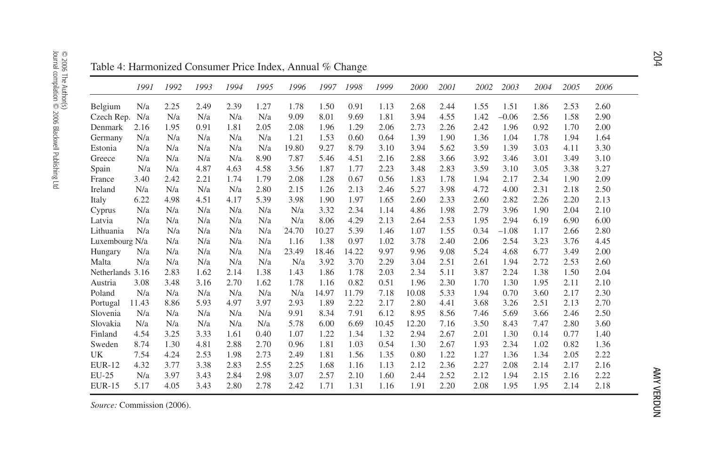|                    |       |      |      |      |      |       |       | U     |       |       |      |      |         |      |      |      |
|--------------------|-------|------|------|------|------|-------|-------|-------|-------|-------|------|------|---------|------|------|------|
|                    | 1991  | 1992 | 1993 | 1994 | 1995 | 1996  | 1997  | 1998  | 1999  | 2000  | 2001 | 2002 | 2003    | 2004 | 2005 | 2006 |
| Belgium            | N/a   | 2.25 | 2.49 | 2.39 | 1.27 | 1.78  | 1.50  | 0.91  | 1.13  | 2.68  | 2.44 | 1.55 | 1.51    | 1.86 | 2.53 | 2.60 |
| Czech Rep.         | N/a   | N/a  | N/a  | N/a  | N/a  | 9.09  | 8.01  | 9.69  | 1.81  | 3.94  | 4.55 | 1.42 | $-0.06$ | 2.56 | 1.58 | 2.90 |
| Denmark            | 2.16  | 1.95 | 0.91 | 1.81 | 2.05 | 2.08  | 1.96  | 1.29  | 2.06  | 2.73  | 2.26 | 2.42 | 1.96    | 0.92 | 1.70 | 2.00 |
| Germany            | N/a   | N/a  | N/a  | N/a  | N/a  | 1.21  | 1.53  | 0.60  | 0.64  | 1.39  | 1.90 | 1.36 | 1.04    | 1.78 | 1.94 | 1.64 |
| Estonia            | N/a   | N/a  | N/a  | N/a  | N/a  | 19.80 | 9.27  | 8.79  | 3.10  | 3.94  | 5.62 | 3.59 | 1.39    | 3.03 | 4.11 | 3.30 |
| Greece             | N/a   | N/a  | N/a  | N/a  | 8.90 | 7.87  | 5.46  | 4.51  | 2.16  | 2.88  | 3.66 | 3.92 | 3.46    | 3.01 | 3.49 | 3.10 |
| Spain              | N/a   | N/a  | 4.87 | 4.63 | 4.58 | 3.56  | 1.87  | 1.77  | 2.23  | 3.48  | 2.83 | 3.59 | 3.10    | 3.05 | 3.38 | 3.27 |
| France             | 3.40  | 2.42 | 2.21 | 1.74 | 1.79 | 2.08  | 1.28  | 0.67  | 0.56  | 1.83  | 1.78 | 1.94 | 2.17    | 2.34 | 1.90 | 2.09 |
| Ireland            | N/a   | N/a  | N/a  | N/a  | 2.80 | 2.15  | 1.26  | 2.13  | 2.46  | 5.27  | 3.98 | 4.72 | 4.00    | 2.31 | 2.18 | 2.50 |
| Italy              | 6.22  | 4.98 | 4.51 | 4.17 | 5.39 | 3.98  | 1.90  | 1.97  | 1.65  | 2.60  | 2.33 | 2.60 | 2.82    | 2.26 | 2.20 | 2.13 |
| Cyprus             | N/a   | N/a  | N/a  | N/a  | N/a  | N/a   | 3.32  | 2.34  | 1.14  | 4.86  | 1.98 | 2.79 | 3.96    | 1.90 | 2.04 | 2.10 |
| Latvia             | N/a   | N/a  | N/a  | N/a  | N/a  | N/a   | 8.06  | 4.29  | 2.13  | 2.64  | 2.53 | 1.95 | 2.94    | 6.19 | 6.90 | 6.00 |
| Lithuania          | N/a   | N/a  | N/a  | N/a  | N/a  | 24.70 | 10.27 | 5.39  | 1.46  | 1.07  | 1.55 | 0.34 | $-1.08$ | 1.17 | 2.66 | 2.80 |
| Luxembourg N/a     |       | N/a  | N/a  | N/a  | N/a  | 1.16  | 1.38  | 0.97  | 1.02  | 3.78  | 2.40 | 2.06 | 2.54    | 3.23 | 3.76 | 4.45 |
| Hungary            | N/a   | N/a  | N/a  | N/a  | N/a  | 23.49 | 18.46 | 14.22 | 9.97  | 9.96  | 9.08 | 5.24 | 4.68    | 6.77 | 3.49 | 2.00 |
| Malta              | N/a   | N/a  | N/a  | N/a  | N/a  | N/a   | 3.92  | 3.70  | 2.29  | 3.04  | 2.51 | 2.61 | 1.94    | 2.72 | 2.53 | 2.60 |
| <b>Netherlands</b> | 3.16  | 2.83 | 1.62 | 2.14 | 1.38 | 1.43  | 1.86  | 1.78  | 2.03  | 2.34  | 5.11 | 3.87 | 2.24    | 1.38 | 1.50 | 2.04 |
| Austria            | 3.08  | 3.48 | 3.16 | 2.70 | 1.62 | 1.78  | 1.16  | 0.82  | 0.51  | 1.96  | 2.30 | 1.70 | 1.30    | 1.95 | 2.11 | 2.10 |
| Poland             | N/a   | N/a  | N/a  | N/a  | N/a  | N/a   | 14.97 | 11.79 | 7.18  | 10.08 | 5.33 | 1.94 | 0.70    | 3.60 | 2.17 | 2.30 |
| Portugal           | 11.43 | 8.86 | 5.93 | 4.97 | 3.97 | 2.93  | 1.89  | 2.22  | 2.17  | 2.80  | 4.41 | 3.68 | 3.26    | 2.51 | 2.13 | 2.70 |
| Slovenia           | N/a   | N/a  | N/a  | N/a  | N/a  | 9.91  | 8.34  | 7.91  | 6.12  | 8.95  | 8.56 | 7.46 | 5.69    | 3.66 | 2.46 | 2.50 |
| Slovakia           | N/a   | N/a  | N/a  | N/a  | N/a  | 5.78  | 6.00  | 6.69  | 10.45 | 12.20 | 7.16 | 3.50 | 8.43    | 7.47 | 2.80 | 3.60 |
| Finland            | 4.54  | 3.25 | 3.33 | 1.61 | 0.40 | 1.07  | 1.22  | 1.34  | 1.32  | 2.94  | 2.67 | 2.01 | 1.30    | 0.14 | 0.77 | 1.40 |
| Sweden             | 8.74  | 1.30 | 4.81 | 2.88 | 2.70 | 0.96  | 1.81  | 1.03  | 0.54  | 1.30  | 2.67 | 1.93 | 2.34    | 1.02 | 0.82 | 1.36 |
| UK                 | 7.54  | 4.24 | 2.53 | 1.98 | 2.73 | 2.49  | 1.81  | 1.56  | 1.35  | 0.80  | 1.22 | 1.27 | 1.36    | 1.34 | 2.05 | 2.22 |
| $EUR-12$           | 4.32  | 3.77 | 3.38 | 2.83 | 2.55 | 2.25  | 1.68  | 1.16  | 1.13  | 2.12  | 2.36 | 2.27 | 2.08    | 2.14 | 2.17 | 2.16 |
| $EU-25$            | N/a   | 3.97 | 3.43 | 2.84 | 2.98 | 3.07  | 2.57  | 2.10  | 1.60  | 2.44  | 2.52 | 2.12 | 1.94    | 2.15 | 2.16 | 2.22 |
| $EUR-15$           | 5.17  | 4.05 | 3.43 | 2.80 | 2.78 | 2.42  | 1.71  | 1.31  | 1.16  | 1.91  | 2.20 | 2.08 | 1.95    | 1.95 | 2.14 | 2.18 |

Table 4: Harmonized Consumer Price Index, Annual % Change

*Source:* Commission (2006).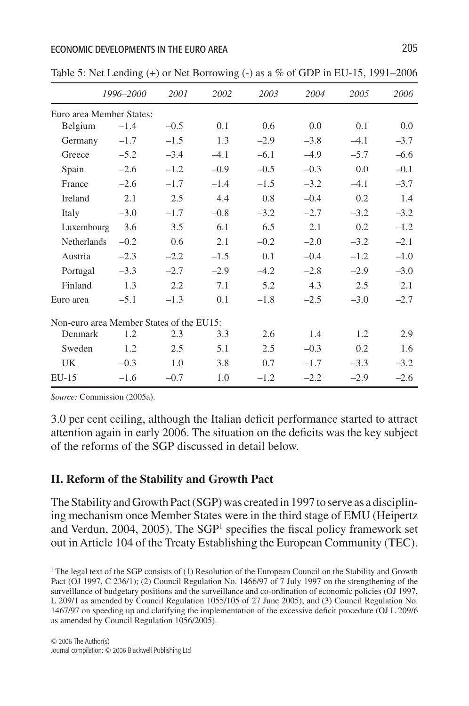#### ECONOMIC DEVELOPMENTS IN THE EURO AREA

|                                          | 1996–2000 | 2001   | 2002   | 2003   | 2004   | 2005   | 2006   |
|------------------------------------------|-----------|--------|--------|--------|--------|--------|--------|
| Euro area Member States:                 |           |        |        |        |        |        |        |
| Belgium                                  | $-1.4$    | $-0.5$ | 0.1    | 0.6    | 0.0    | 0.1    | 0.0    |
| Germany                                  | $-1.7$    | $-1.5$ | 1.3    | $-2.9$ | $-3.8$ | $-4.1$ | $-3.7$ |
| Greece                                   | $-5.2$    | $-3.4$ | $-4.1$ | $-6.1$ | $-4.9$ | $-5.7$ | $-6.6$ |
| Spain                                    | $-2.6$    | $-1.2$ | $-0.9$ | $-0.5$ | $-0.3$ | 0.0    | $-0.1$ |
| France                                   | $-2.6$    | $-1.7$ | $-1.4$ | $-1.5$ | $-3.2$ | $-4.1$ | $-3.7$ |
| <b>Ireland</b>                           | 2.1       | 2.5    | 4.4    | 0.8    | $-0.4$ | 0.2    | 1.4    |
| Italy                                    | $-3.0$    | $-1.7$ | $-0.8$ | $-3.2$ | $-2.7$ | $-3.2$ | $-3.2$ |
| Luxembourg                               | 3.6       | 3.5    | 6.1    | 6.5    | 2.1    | 0.2    | $-1.2$ |
| <b>Netherlands</b>                       | $-0.2$    | 0.6    | 2.1    | $-0.2$ | $-2.0$ | $-3.2$ | $-2.1$ |
| Austria                                  | $-2.3$    | $-2.2$ | $-1.5$ | 0.1    | $-0.4$ | $-1.2$ | $-1.0$ |
| Portugal                                 | $-3.3$    | $-2.7$ | $-2.9$ | $-4.2$ | $-2.8$ | $-2.9$ | $-3.0$ |
| Finland                                  | 1.3       | 2.2    | 7.1    | 5.2    | 4.3    | 2.5    | 2.1    |
| Euro area                                | $-5.1$    | $-1.3$ | 0.1    | $-1.8$ | $-2.5$ | $-3.0$ | $-2.7$ |
| Non-euro area Member States of the EU15: |           |        |        |        |        |        |        |
| Denmark                                  | 1.2       | 2.3    | 3.3    | 2.6    | 1.4    | 1.2    | 2.9    |
| Sweden                                   | 1.2       | 2.5    | 5.1    | 2.5    | $-0.3$ | 0.2    | 1.6    |
| UK                                       | $-0.3$    | 1.0    | 3.8    | 0.7    | $-1.7$ | $-3.3$ | $-3.2$ |
| $EU-15$                                  | $-1.6$    | $-0.7$ | 1.0    | $-1.2$ | $-2.2$ | $-2.9$ | $-2.6$ |

Table 5: Net Lending (+) or Net Borrowing (-) as a % of GDP in EU-15, 1991–2006

*Source:* Commission (2005a).

3.0 per cent ceiling, although the Italian deficit performance started to attract attention again in early 2006. The situation on the deficits was the key subject of the reforms of the SGP discussed in detail below.

## **II. Reform of the Stability and Growth Pact**

The Stability and Growth Pact (SGP) was created in 1997 to serve as a disciplining mechanism once Member States were in the third stage of EMU (Heipertz and Verdun, 2004, 2005). The  $SGP<sup>1</sup>$  specifies the fiscal policy framework set out in Article 104 of the Treaty Establishing the European Community (TEC).

<sup>&</sup>lt;sup>1</sup> The legal text of the SGP consists of (1) Resolution of the European Council on the Stability and Growth Pact (OJ 1997, C 236/1); (2) Council Regulation No. 1466/97 of 7 July 1997 on the strengthening of the surveillance of budgetary positions and the surveillance and co-ordination of economic policies (OJ 1997, L 209/1 as amended by Council Regulation 1055/105 of 27 June 2005); and (3) Council Regulation No. 1467/97 on speeding up and clarifying the implementation of the excessive deficit procedure (OJ L 209/6 as amended by Council Regulation 1056/2005).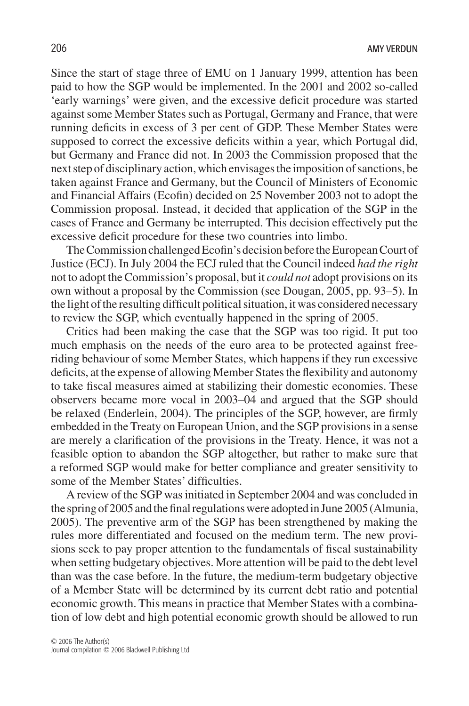Since the start of stage three of EMU on 1 January 1999, attention has been paid to how the SGP would be implemented. In the 2001 and 2002 so-called 'early warnings' were given, and the excessive deficit procedure was started against some Member States such as Portugal, Germany and France, that were running deficits in excess of 3 per cent of GDP. These Member States were supposed to correct the excessive deficits within a year, which Portugal did, but Germany and France did not. In 2003 the Commission proposed that the next step of disciplinary action, which envisages the imposition of sanctions, be taken against France and Germany, but the Council of Ministers of Economic and Financial Affairs (Ecofin) decided on 25 November 2003 not to adopt the Commission proposal. Instead, it decided that application of the SGP in the cases of France and Germany be interrupted. This decision effectively put the excessive deficit procedure for these two countries into limbo.

The Commission challenged Ecofin's decision before the European Court of Justice (ECJ). In July 2004 the ECJ ruled that the Council indeed *had the right* not to adopt the Commission's proposal, but it *could not* adopt provisions on its own without a proposal by the Commission (see Dougan, 2005, pp. 93–5). In the light of the resulting difficult political situation, it was considered necessary to review the SGP, which eventually happened in the spring of 2005.

Critics had been making the case that the SGP was too rigid. It put too much emphasis on the needs of the euro area to be protected against freeriding behaviour of some Member States, which happens if they run excessive deficits, at the expense of allowing Member States the flexibility and autonomy to take fiscal measures aimed at stabilizing their domestic economies. These observers became more vocal in 2003–04 and argued that the SGP should be relaxed (Enderlein, 2004). The principles of the SGP, however, are firmly embedded in the Treaty on European Union, and the SGP provisions in a sense are merely a clarification of the provisions in the Treaty. Hence, it was not a feasible option to abandon the SGP altogether, but rather to make sure that a reformed SGP would make for better compliance and greater sensitivity to some of the Member States' difficulties.

A review of the SGP was initiated in September 2004 and was concluded in the spring of 2005 and the final regulations were adopted in June 2005 (Almunia, 2005). The preventive arm of the SGP has been strengthened by making the rules more differentiated and focused on the medium term. The new provisions seek to pay proper attention to the fundamentals of fiscal sustainability when setting budgetary objectives. More attention will be paid to the debt level than was the case before. In the future, the medium-term budgetary objective of a Member State will be determined by its current debt ratio and potential economic growth. This means in practice that Member States with a combination of low debt and high potential economic growth should be allowed to run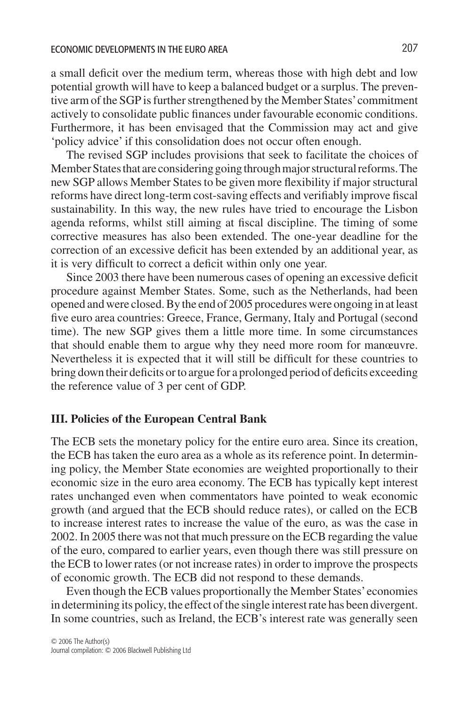a small deficit over the medium term, whereas those with high debt and low potential growth will have to keep a balanced budget or a surplus. The preventive arm of the SGP is further strengthened by the Member States' commitment actively to consolidate public finances under favourable economic conditions. Furthermore, it has been envisaged that the Commission may act and give 'policy advice' if this consolidation does not occur often enough.

The revised SGP includes provisions that seek to facilitate the choices of Member States that are considering going through major structural reforms. The new SGP allows Member States to be given more flexibility if major structural reforms have direct long-term cost-saving effects and verifiably improve fiscal sustainability. In this way, the new rules have tried to encourage the Lisbon agenda reforms, whilst still aiming at fiscal discipline. The timing of some corrective measures has also been extended. The one-year deadline for the correction of an excessive deficit has been extended by an additional year, as it is very difficult to correct a deficit within only one year.

Since 2003 there have been numerous cases of opening an excessive deficit procedure against Member States. Some, such as the Netherlands, had been opened and were closed. By the end of 2005 procedures were ongoing in at least five euro area countries: Greece, France, Germany, Italy and Portugal (second time). The new SGP gives them a little more time. In some circumstances that should enable them to argue why they need more room for manœuvre. Nevertheless it is expected that it will still be difficult for these countries to bring down their deficits or to argue for a prolonged period of deficits exceeding the reference value of 3 per cent of GDP.

#### **III. Policies of the European Central Bank**

The ECB sets the monetary policy for the entire euro area. Since its creation, the ECB has taken the euro area as a whole as its reference point. In determining policy, the Member State economies are weighted proportionally to their economic size in the euro area economy. The ECB has typically kept interest rates unchanged even when commentators have pointed to weak economic growth (and argued that the ECB should reduce rates), or called on the ECB to increase interest rates to increase the value of the euro, as was the case in 2002. In 2005 there was not that much pressure on the ECB regarding the value of the euro, compared to earlier years, even though there was still pressure on the ECB to lower rates (or not increase rates) in order to improve the prospects of economic growth. The ECB did not respond to these demands.

Even though the ECB values proportionally the Member States' economies in determining its policy, the effect of the single interest rate has been divergent. In some countries, such as Ireland, the ECB's interest rate was generally seen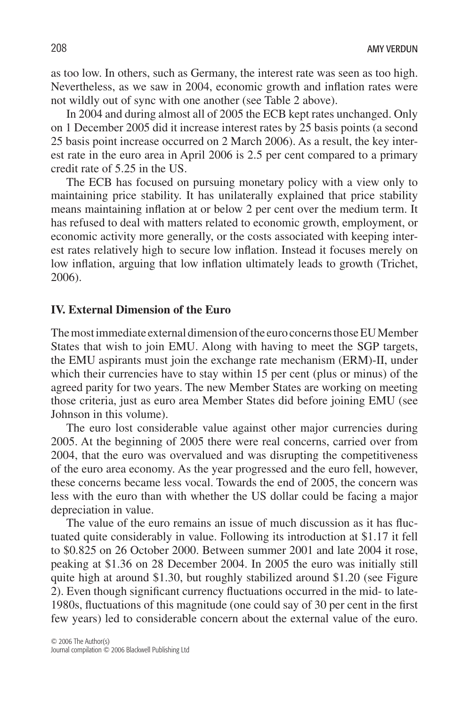as too low. In others, such as Germany, the interest rate was seen as too high. Nevertheless, as we saw in 2004, economic growth and inflation rates were not wildly out of sync with one another (see Table 2 above).

In 2004 and during almost all of 2005 the ECB kept rates unchanged. Only on 1 December 2005 did it increase interest rates by 25 basis points (a second 25 basis point increase occurred on 2 March 2006). As a result, the key interest rate in the euro area in April 2006 is 2.5 per cent compared to a primary credit rate of 5.25 in the US.

The ECB has focused on pursuing monetary policy with a view only to maintaining price stability. It has unilaterally explained that price stability means maintaining inflation at or below 2 per cent over the medium term. It has refused to deal with matters related to economic growth, employment, or economic activity more generally, or the costs associated with keeping interest rates relatively high to secure low inflation. Instead it focuses merely on low inflation, arguing that low inflation ultimately leads to growth (Trichet, 2006).

#### **IV. External Dimension of the Euro**

The most immediate external dimension of the euro concerns those EU Member States that wish to join EMU. Along with having to meet the SGP targets, the EMU aspirants must join the exchange rate mechanism (ERM)-II, under which their currencies have to stay within 15 per cent (plus or minus) of the agreed parity for two years. The new Member States are working on meeting those criteria, just as euro area Member States did before joining EMU (see Johnson in this volume).

The euro lost considerable value against other major currencies during 2005. At the beginning of 2005 there were real concerns, carried over from 2004, that the euro was overvalued and was disrupting the competitiveness of the euro area economy. As the year progressed and the euro fell, however, these concerns became less vocal. Towards the end of 2005, the concern was less with the euro than with whether the US dollar could be facing a major depreciation in value.

The value of the euro remains an issue of much discussion as it has fluctuated quite considerably in value. Following its introduction at \$1.17 it fell to \$0.825 on 26 October 2000. Between summer 2001 and late 2004 it rose, peaking at \$1.36 on 28 December 2004. In 2005 the euro was initially still quite high at around \$1.30, but roughly stabilized around \$1.20 (see Figure 2). Even though significant currency fluctuations occurred in the mid- to late-1980s, fluctuations of this magnitude (one could say of 30 per cent in the first few years) led to considerable concern about the external value of the euro.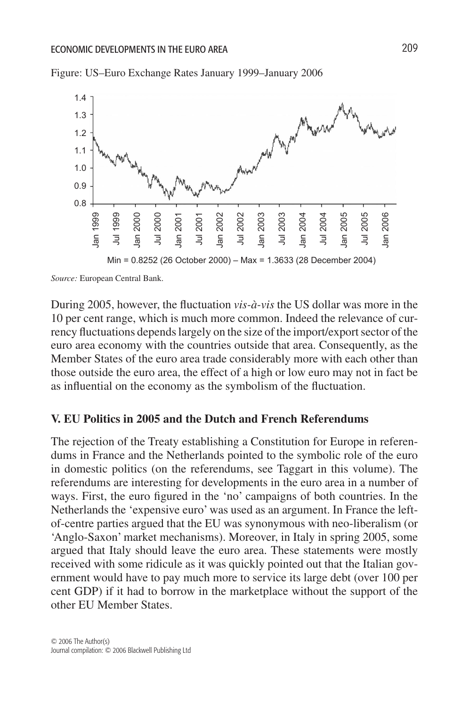

Figure: US–Euro Exchange Rates January 1999–January 2006

*Source:* European Central Bank.

During 2005, however, the fluctuation *vis-à-vis* the US dollar was more in the 10 per cent range, which is much more common. Indeed the relevance of currency fluctuations depends largely on the size of the import/export sector of the euro area economy with the countries outside that area. Consequently, as the Member States of the euro area trade considerably more with each other than those outside the euro area, the effect of a high or low euro may not in fact be as influential on the economy as the symbolism of the fluctuation.

## **V. EU Politics in 2005 and the Dutch and French Referendums**

The rejection of the Treaty establishing a Constitution for Europe in referendums in France and the Netherlands pointed to the symbolic role of the euro in domestic politics (on the referendums, see Taggart in this volume). The referendums are interesting for developments in the euro area in a number of ways. First, the euro figured in the 'no' campaigns of both countries. In the Netherlands the 'expensive euro' was used as an argument. In France the leftof-centre parties argued that the EU was synonymous with neo-liberalism (or 'Anglo-Saxon' market mechanisms). Moreover, in Italy in spring 2005, some argued that Italy should leave the euro area. These statements were mostly received with some ridicule as it was quickly pointed out that the Italian government would have to pay much more to service its large debt (over 100 per cent GDP) if it had to borrow in the marketplace without the support of the other EU Member States.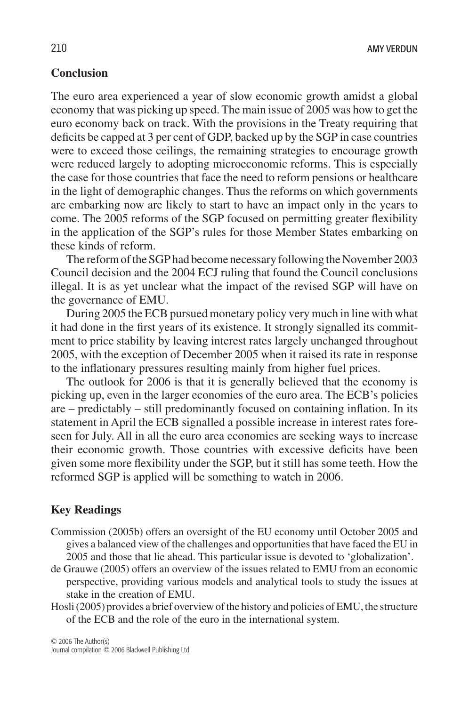## **Conclusion**

The euro area experienced a year of slow economic growth amidst a global economy that was picking up speed. The main issue of 2005 was how to get the euro economy back on track. With the provisions in the Treaty requiring that deficits be capped at 3 per cent of GDP, backed up by the SGP in case countries were to exceed those ceilings, the remaining strategies to encourage growth were reduced largely to adopting microeconomic reforms. This is especially the case for those countries that face the need to reform pensions or healthcare in the light of demographic changes. Thus the reforms on which governments are embarking now are likely to start to have an impact only in the years to come. The 2005 reforms of the SGP focused on permitting greater flexibility in the application of the SGP's rules for those Member States embarking on these kinds of reform.

The reform of the SGP had become necessary following the November 2003 Council decision and the 2004 ECJ ruling that found the Council conclusions illegal. It is as yet unclear what the impact of the revised SGP will have on the governance of EMU.

During 2005 the ECB pursued monetary policy very much in line with what it had done in the first years of its existence. It strongly signalled its commitment to price stability by leaving interest rates largely unchanged throughout 2005, with the exception of December 2005 when it raised its rate in response to the inflationary pressures resulting mainly from higher fuel prices.

The outlook for 2006 is that it is generally believed that the economy is picking up, even in the larger economies of the euro area. The ECB's policies are – predictably – still predominantly focused on containing inflation. In its statement in April the ECB signalled a possible increase in interest rates foreseen for July. All in all the euro area economies are seeking ways to increase their economic growth. Those countries with excessive deficits have been given some more flexibility under the SGP, but it still has some teeth. How the reformed SGP is applied will be something to watch in 2006.

#### **Key Readings**

- Commission (2005b) offers an oversight of the EU economy until October 2005 and gives a balanced view of the challenges and opportunities that have faced the EU in 2005 and those that lie ahead. This particular issue is devoted to 'globalization'.
- de Grauwe (2005) offers an overview of the issues related to EMU from an economic perspective, providing various models and analytical tools to study the issues at stake in the creation of EMU.
- Hosli (2005) provides a brief overview of the history and policies of EMU, the structure of the ECB and the role of the euro in the international system.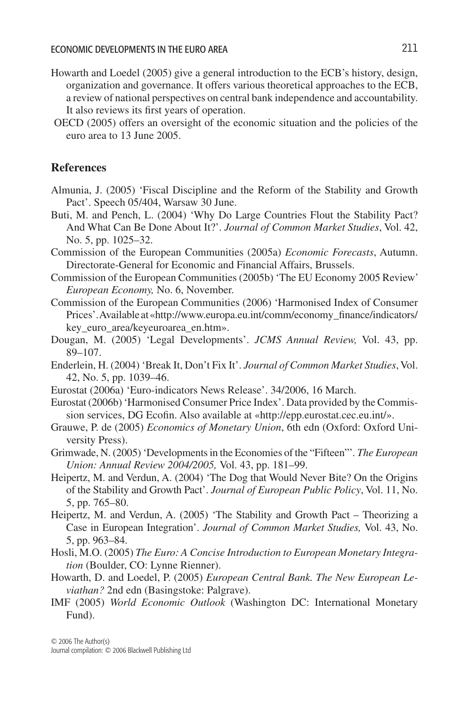- Howarth and Loedel (2005) give a general introduction to the ECB's history, design, organization and governance. It offers various theoretical approaches to the ECB, a review of national perspectives on central bank independence and accountability. It also reviews its first years of operation.
- OECD (2005) offers an oversight of the economic situation and the policies of the euro area to 13 June 2005.

## **References**

- Almunia, J. (2005) 'Fiscal Discipline and the Reform of the Stability and Growth Pact'. Speech 05/404, Warsaw 30 June.
- Buti, M. and Pench, L. (2004) 'Why Do Large Countries Flout the Stability Pact? And What Can Be Done About It?'. *Journal of Common Market Studies*, Vol. 42, No. 5, pp. 1025–32.
- Commission of the European Communities (2005a) *Economic Forecasts*, Autumn. Directorate-General for Economic and Financial Affairs, Brussels.
- Commission of the European Communities (2005b) 'The EU Economy 2005 Review' *European Economy,* No. 6, November.
- Commission of the European Communities (2006) 'Harmonised Index of Consumer Prices'. Available at «http://www.europa.eu.int/comm/economy\_finance/indicators/ key euro area/keyeuroarea en.htm».
- Dougan, M. (2005) 'Legal Developments'. *JCMS Annual Review,* Vol. 43, pp. 89–107.
- Enderlein, H. (2004) 'Break It, Don't Fix It'. *Journal of Common Market Studies*, Vol. 42, No. 5, pp. 1039–46.
- Eurostat (2006a) 'Euro-indicators News Release'. 34/2006, 16 March.
- Eurostat (2006b) 'Harmonised Consumer Price Index'. Data provided by the Commission services, DG Ecofin. Also available at «http://epp.eurostat.cec.eu.int/».
- Grauwe, P. de (2005) *Economics of Monetary Union*, 6th edn (Oxford: Oxford University Press).
- Grimwade, N. (2005) 'Developments in the Economies of the "Fifteen"'*. The European Union: Annual Review 2004/2005,* Vol. 43, pp. 181–99.
- Heipertz, M. and Verdun, A. (2004) 'The Dog that Would Never Bite? On the Origins of the Stability and Growth Pact'. *Journal of European Public Policy*, Vol. 11, No. 5, pp. 765–80.
- Heipertz, M. and Verdun, A. (2005) 'The Stability and Growth Pact Theorizing a Case in European Integration'. *Journal of Common Market Studies,* Vol. 43, No. 5, pp. 963–84.
- Hosli, M.O. (2005) *The Euro: A Concise Introduction to European Monetary Integration* (Boulder, CO: Lynne Rienner).
- Howarth, D. and Loedel, P. (2005) *European Central Bank. The New European Leviathan?* 2nd edn (Basingstoke: Palgrave).
- IMF (2005) *World Economic Outlook* (Washington DC: International Monetary Fund).

© 2006 The Author(s)

Journal compilation: © 2006 Blackwell Publishing Ltd